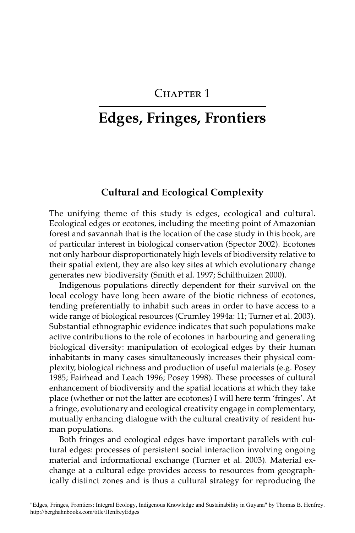## CHAPTER 1

# **Edges, Fringes, Frontiers**

#### **Cultural and Ecological Complexity**

The unifying theme of this study is edges, ecological and cultural. Ecological edges or ecotones, including the meeting point of Amazonian forest and savannah that is the location of the case study in this book, are of particular interest in biological conservation (Spector 2002). Ecotones not only harbour disproportionately high levels of biodiversity relative to their spatial extent, they are also key sites at which evolutionary change generates new biodiversity (Smith et al. 1997; Schilthuizen 2000).

Indigenous populations directly dependent for their survival on the local ecology have long been aware of the biotic richness of ecotones, tending preferentially to inhabit such areas in order to have access to a wide range of biological resources (Crumley 1994a: 11; Turner et al. 2003). Substantial ethnographic evidence indicates that such populations make active contributions to the role of ecotones in harbouring and generating biological diversity: manipulation of ecological edges by their human inhabitants in many cases simultaneously increases their physical complexity, biological richness and production of useful materials (e.g. Posey 1985; Fairhead and Leach 1996; Posey 1998). These processes of cultural enhancement of biodiversity and the spatial locations at which they take place (whether or not the latter are ecotones) I will here term 'fringes'. At a fringe, evolutionary and ecological creativity engage in complementary, mutually enhancing dialogue with the cultural creativity of resident human populations.

Both fringes and ecological edges have important parallels with cultural edges: processes of persistent social interaction involving ongoing material and informational exchange (Turner et al. 2003). Material exchange at a cultural edge provides access to resources from geographically distinct zones and is thus a cultural strategy for reproducing the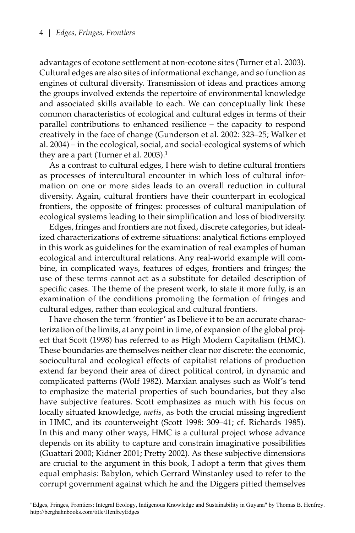advantages of ecotone settlement at non-ecotone sites (Turner et al. 2003). Cultural edges are also sites of informational exchange, and so function as engines of cultural diversity. Transmission of ideas and practices among the groups involved extends the repertoire of environmental knowledge and associated skills available to each. We can conceptually link these common characteristics of ecological and cultural edges in terms of their parallel contributions to enhanced resilience – the capacity to respond creatively in the face of change (Gunderson et al. 2002: 323–25; Walker et al. 2004) – in the ecological, social, and social-ecological systems of which they are a part (Turner et al.  $2003$ ).<sup>1</sup>

As a contrast to cultural edges, I here wish to define cultural frontiers as processes of intercultural encounter in which loss of cultural information on one or more sides leads to an overall reduction in cultural diversity. Again, cultural frontiers have their counterpart in ecological frontiers, the opposite of fringes: processes of cultural manipulation of ecological systems leading to their simplification and loss of biodiversity.

Edges, fringes and frontiers are not fixed, discrete categories, but idealized characterizations of extreme situations: analytical fictions employed in this work as guidelines for the examination of real examples of human ecological and intercultural relations. Any real-world example will combine, in complicated ways, features of edges, frontiers and fringes; the use of these terms cannot act as a substitute for detailed description of specific cases. The theme of the present work, to state it more fully, is an examination of the conditions promoting the formation of fringes and cultural edges, rather than ecological and cultural frontiers.

I have chosen the term 'frontier' as I believe it to be an accurate characterization of the limits, at any point in time, of expansion of the global project that Scott (1998) has referred to as High Modern Capitalism (HMC). These boundaries are themselves neither clear nor discrete: the economic, sociocultural and ecological effects of capitalist relations of production extend far beyond their area of direct political control, in dynamic and complicated patterns (Wolf 1982). Marxian analyses such as Wolf's tend to emphasize the material properties of such boundaries, but they also have subjective features. Scott emphasizes as much with his focus on locally situated knowledge, *metis*, as both the crucial missing ingredient in HMC, and its counterweight (Scott 1998: 309–41; cf. Richards 1985). In this and many other ways, HMC is a cultural project whose advance depends on its ability to capture and constrain imaginative possibilities (Guattari 2000; Kidner 2001; Pretty 2002). As these subjective dimensions are crucial to the argument in this book, I adopt a term that gives them equal emphasis: Babylon, which Gerrard Winstanley used to refer to the corrupt government against which he and the Diggers pitted themselves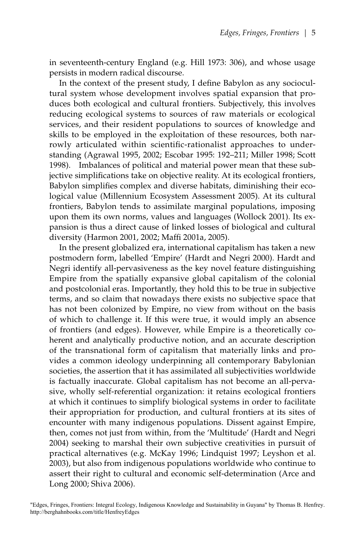in seventeenth-century England (e.g. Hill 1973: 306), and whose usage persists in modern radical discourse.

In the context of the present study, I define Babylon as any sociocultural system whose development involves spatial expansion that produces both ecological and cultural frontiers. Subjectively, this involves reducing ecological systems to sources of raw materials or ecological services, and their resident populations to sources of knowledge and skills to be employed in the exploitation of these resources, both narrowly articulated within scientific-rationalist approaches to understanding (Agrawal 1995, 2002; Escobar 1995: 192–211; Miller 1998; Scott 1998). Imbalances of political and material power mean that these subjective simplifications take on objective reality. At its ecological frontiers, Babylon simplifies complex and diverse habitats, diminishing their ecological value (Millennium Ecosystem Assessment 2005). At its cultural frontiers, Babylon tends to assimilate marginal populations, imposing upon them its own norms, values and languages (Wollock 2001). Its expansion is thus a direct cause of linked losses of biological and cultural diversity (Harmon 2001, 2002; Maffi 2001a, 2005).

In the present globalized era, international capitalism has taken a new postmodern form, labelled 'Empire' (Hardt and Negri 2000). Hardt and Negri identify all-pervasiveness as the key novel feature distinguishing Empire from the spatially expansive global capitalism of the colonial and postcolonial eras. Importantly, they hold this to be true in subjective terms, and so claim that nowadays there exists no subjective space that has not been colonized by Empire, no view from without on the basis of which to challenge it. If this were true, it would imply an absence of frontiers (and edges). However, while Empire is a theoretically coherent and analytically productive notion, and an accurate description of the transnational form of capitalism that materially links and provides a common ideology underpinning all contemporary Babylonian societies, the assertion that it has assimilated all subjectivities worldwide is factually inaccurate. Global capitalism has not become an all-pervasive, wholly self-referential organization: it retains ecological frontiers at which it continues to simplify biological systems in order to facilitate their appropriation for production, and cultural frontiers at its sites of encounter with many indigenous populations. Dissent against Empire, then, comes not just from within, from the 'Multitude' (Hardt and Negri 2004) seeking to marshal their own subjective creativities in pursuit of practical alternatives (e.g. McKay 1996; Lindquist 1997; Leyshon et al. 2003), but also from indigenous populations worldwide who continue to assert their right to cultural and economic self-determination (Arce and Long 2000; Shiva 2006).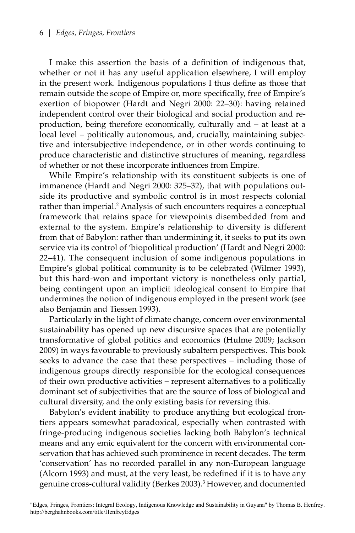I make this assertion the basis of a definition of indigenous that, whether or not it has any useful application elsewhere, I will employ in the present work. Indigenous populations I thus define as those that remain outside the scope of Empire or, more specifically, free of Empire's exertion of biopower (Hardt and Negri 2000: 22–30): having retained independent control over their biological and social production and reproduction, being therefore economically, culturally and – at least at a local level – politically autonomous, and, crucially, maintaining subjective and intersubjective independence, or in other words continuing to produce characteristic and distinctive structures of meaning, regardless of whether or not these incorporate influences from Empire.

While Empire's relationship with its constituent subjects is one of immanence (Hardt and Negri 2000: 325–32), that with populations outside its productive and symbolic control is in most respects colonial rather than imperial.<sup>2</sup> Analysis of such encounters requires a conceptual framework that retains space for viewpoints disembedded from and external to the system. Empire's relationship to diversity is different from that of Babylon: rather than undermining it, it seeks to put its own service via its control of 'biopolitical production' (Hardt and Negri 2000: 22–41). The consequent inclusion of some indigenous populations in Empire's global political community is to be celebrated (Wilmer 1993), but this hard-won and important victory is nonetheless only partial, being contingent upon an implicit ideological consent to Empire that undermines the notion of indigenous employed in the present work (see also Benjamin and Tiessen 1993).

Particularly in the light of climate change, concern over environmental sustainability has opened up new discursive spaces that are potentially transformative of global politics and economics (Hulme 2009; Jackson 2009) in ways favourable to previously subaltern perspectives. This book seeks to advance the case that these perspectives – including those of indigenous groups directly responsible for the ecological consequences of their own productive activities – represent alternatives to a politically dominant set of subjectivities that are the source of loss of biological and cultural diversity, and the only existing basis for reversing this.

Babylon's evident inability to produce anything but ecological frontiers appears somewhat paradoxical, especially when contrasted with fringe-producing indigenous societies lacking both Babylon's technical means and any emic equivalent for the concern with environmental conservation that has achieved such prominence in recent decades. The term 'conservation' has no recorded parallel in any non-European language (Alcorn 1993) and must, at the very least, be redefined if it is to have any genuine cross-cultural validity (Berkes 2003).<sup>3</sup> However, and documented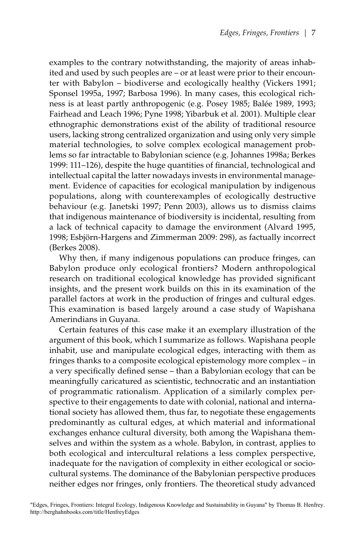examples to the contrary notwithstanding, the majority of areas inhabited and used by such peoples are – or at least were prior to their encounter with Babylon – biodiverse and ecologically healthy (Vickers 1991; Sponsel 1995a, 1997; Barbosa 1996). In many cases, this ecological richness is at least partly anthropogenic (e.g. Posey 1985; Balée 1989, 1993; Fairhead and Leach 1996; Pyne 1998; Yibarbuk et al. 2001). Multiple clear ethnographic demonstrations exist of the ability of traditional resource users, lacking strong centralized organization and using only very simple material technologies, to solve complex ecological management problems so far intractable to Babylonian science (e.g. Johannes 1998a; Berkes 1999: 111–126), despite the huge quantities of financial, technological and intellectual capital the latter nowadays invests in environmental management. Evidence of capacities for ecological manipulation by indigenous populations, along with counterexamples of ecologically destructive behaviour (e.g. Janetski 1997; Penn 2003), allows us to dismiss claims that indigenous maintenance of biodiversity is incidental, resulting from a lack of technical capacity to damage the environment (Alvard 1995, 1998; Esbjörn-Hargens and Zimmerman 2009: 298), as factually incorrect (Berkes 2008).

Why then, if many indigenous populations can produce fringes, can Babylon produce only ecological frontiers? Modern anthropological research on traditional ecological knowledge has provided significant insights, and the present work builds on this in its examination of the parallel factors at work in the production of fringes and cultural edges. This examination is based largely around a case study of Wapishana Amerindians in Guyana.

Certain features of this case make it an exemplary illustration of the argument of this book, which I summarize as follows. Wapishana people inhabit, use and manipulate ecological edges, interacting with them as fringes thanks to a composite ecological epistemology more complex – in a very specifically defined sense – than a Babylonian ecology that can be meaningfully caricatured as scientistic, technocratic and an instantiation of programmatic rationalism. Application of a similarly complex perspective to their engagements to date with colonial, national and international society has allowed them, thus far, to negotiate these engagements predominantly as cultural edges, at which material and informational exchanges enhance cultural diversity, both among the Wapishana themselves and within the system as a whole. Babylon, in contrast, applies to both ecological and intercultural relations a less complex perspective, inadequate for the navigation of complexity in either ecological or sociocultural systems. The dominance of the Babylonian perspective produces neither edges nor fringes, only frontiers. The theoretical study advanced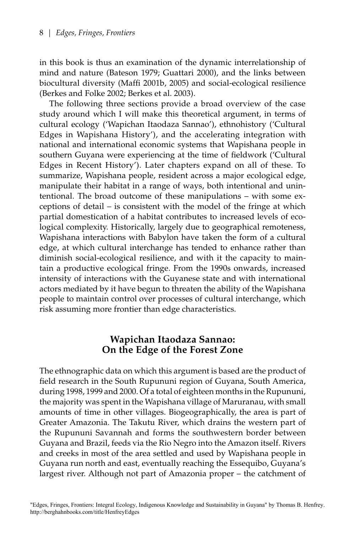in this book is thus an examination of the dynamic interrelationship of mind and nature (Bateson 1979; Guattari 2000), and the links between biocultural diversity (Maffi 2001b, 2005) and social-ecological resilience (Berkes and Folke 2002; Berkes et al. 2003).

The following three sections provide a broad overview of the case study around which I will make this theoretical argument, in terms of cultural ecology ('Wapichan Itaodaza Sannao'), ethnohistory ('Cultural Edges in Wapishana History'), and the accelerating integration with national and international economic systems that Wapishana people in southern Guyana were experiencing at the time of fieldwork ('Cultural Edges in Recent History'). Later chapters expand on all of these. To summarize, Wapishana people, resident across a major ecological edge, manipulate their habitat in a range of ways, both intentional and unintentional. The broad outcome of these manipulations – with some exceptions of detail – is consistent with the model of the fringe at which partial domestication of a habitat contributes to increased levels of ecological complexity. Historically, largely due to geographical remoteness, Wapishana interactions with Babylon have taken the form of a cultural edge, at which cultural interchange has tended to enhance rather than diminish social-ecological resilience, and with it the capacity to maintain a productive ecological fringe. From the 1990s onwards, increased intensity of interactions with the Guyanese state and with international actors mediated by it have begun to threaten the ability of the Wapishana people to maintain control over processes of cultural interchange, which risk assuming more frontier than edge characteristics.

#### **Wapichan Itaodaza Sannao: On the Edge of the Forest Zone**

The ethnographic data on which this argument is based are the product of field research in the South Rupununi region of Guyana, South America, during 1998, 1999 and 2000. Of a total of eighteen months in the Rupununi, the majority was spent in the Wapishana village of Maruranau, with small amounts of time in other villages. Biogeographically, the area is part of Greater Amazonia. The Takutu River, which drains the western part of the Rupununi Savannah and forms the southwestern border between Guyana and Brazil, feeds via the Rio Negro into the Amazon itself. Rivers and creeks in most of the area settled and used by Wapishana people in Guyana run north and east, eventually reaching the Essequibo, Guyana's largest river. Although not part of Amazonia proper – the catchment of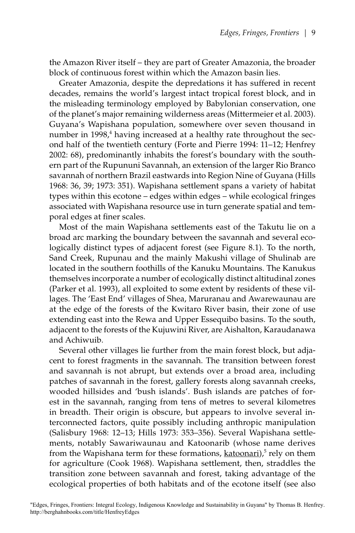the Amazon River itself – they are part of Greater Amazonia, the broader block of continuous forest within which the Amazon basin lies.

Greater Amazonia, despite the depredations it has suffered in recent decades, remains the world's largest intact tropical forest block, and in the misleading terminology employed by Babylonian conservation, one of the planet's major remaining wilderness areas (Mittermeier et al. 2003). Guyana's Wapishana population, somewhere over seven thousand in number in 1998,<sup>4</sup> having increased at a healthy rate throughout the second half of the twentieth century (Forte and Pierre 1994: 11–12; Henfrey 2002: 68), predominantly inhabits the forest's boundary with the southern part of the Rupununi Savannah, an extension of the larger Rio Branco savannah of northern Brazil eastwards into Region Nine of Guyana (Hills 1968: 36, 39; 1973: 351). Wapishana settlement spans a variety of habitat types within this ecotone – edges within edges – while ecological fringes associated with Wapishana resource use in turn generate spatial and temporal edges at finer scales.

Most of the main Wapishana settlements east of the Takutu lie on a broad arc marking the boundary between the savannah and several ecologically distinct types of adjacent forest (see Figure 8.1). To the north, Sand Creek, Rupunau and the mainly Makushi village of Shulinab are located in the southern foothills of the Kanuku Mountains. The Kanukus themselves incorporate a number of ecologically distinct altitudinal zones (Parker et al. 1993), all exploited to some extent by residents of these villages. The 'East End' villages of Shea, Maruranau and Awarewaunau are at the edge of the forests of the Kwitaro River basin, their zone of use extending east into the Rewa and Upper Essequibo basins. To the south, adjacent to the forests of the Kujuwini River, are Aishalton, Karaudanawa and Achiwuib.

Several other villages lie further from the main forest block, but adjacent to forest fragments in the savannah. The transition between forest and savannah is not abrupt, but extends over a broad area, including patches of savannah in the forest, gallery forests along savannah creeks, wooded hillsides and 'bush islands'. Bush islands are patches of forest in the savannah, ranging from tens of metres to several kilometres in breadth. Their origin is obscure, but appears to involve several interconnected factors, quite possibly including anthropic manipulation (Salisbury 1968: 12–13; Hills 1973: 353–356). Several Wapishana settlements, notably Sawariwaunau and Katoonarib (whose name derives from the Wapishana term for these formations, katoonari),<sup>5</sup> rely on them for agriculture (Cook 1968). Wapishana settlement, then, straddles the transition zone between savannah and forest, taking advantage of the ecological properties of both habitats and of the ecotone itself (see also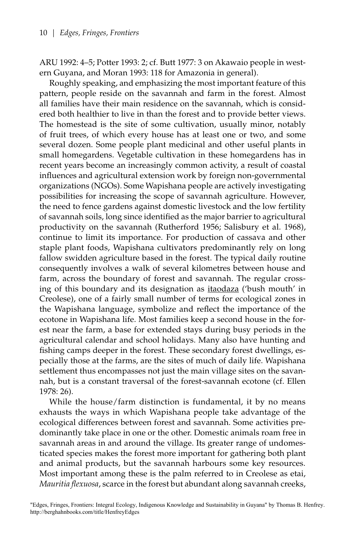ARU 1992: 4–5; Potter 1993: 2; cf. Butt 1977: 3 on Akawaio people in western Guyana, and Moran 1993: 118 for Amazonia in general).

Roughly speaking, and emphasizing the most important feature of this pattern, people reside on the savannah and farm in the forest. Almost all families have their main residence on the savannah, which is considered both healthier to live in than the forest and to provide better views. The homestead is the site of some cultivation, usually minor, notably of fruit trees, of which every house has at least one or two, and some several dozen. Some people plant medicinal and other useful plants in small homegardens. Vegetable cultivation in these homegardens has in recent years become an increasingly common activity, a result of coastal influences and agricultural extension work by foreign non-governmental organizations (NGOs). Some Wapishana people are actively investigating possibilities for increasing the scope of savannah agriculture. However, the need to fence gardens against domestic livestock and the low fertility of savannah soils, long since identified as the major barrier to agricultural productivity on the savannah (Rutherford 1956; Salisbury et al. 1968), continue to limit its importance. For production of cassava and other staple plant foods, Wapishana cultivators predominantly rely on long fallow swidden agriculture based in the forest. The typical daily routine consequently involves a walk of several kilometres between house and farm, across the boundary of forest and savannah. The regular crossing of this boundary and its designation as itaodaza ('bush mouth' in Creolese), one of a fairly small number of terms for ecological zones in the Wapishana language, symbolize and reflect the importance of the ecotone in Wapishana life. Most families keep a second house in the forest near the farm, a base for extended stays during busy periods in the agricultural calendar and school holidays. Many also have hunting and fishing camps deeper in the forest. These secondary forest dwellings, especially those at the farms, are the sites of much of daily life. Wapishana settlement thus encompasses not just the main village sites on the savannah, but is a constant traversal of the forest-savannah ecotone (cf. Ellen 1978: 26).

While the house/farm distinction is fundamental, it by no means exhausts the ways in which Wapishana people take advantage of the ecological differences between forest and savannah. Some activities predominantly take place in one or the other. Domestic animals roam free in savannah areas in and around the village. Its greater range of undomesticated species makes the forest more important for gathering both plant and animal products, but the savannah harbours some key resources. Most important among these is the palm referred to in Creolese as etai, *Mauritia flexuosa*, scarce in the forest but abundant along savannah creeks,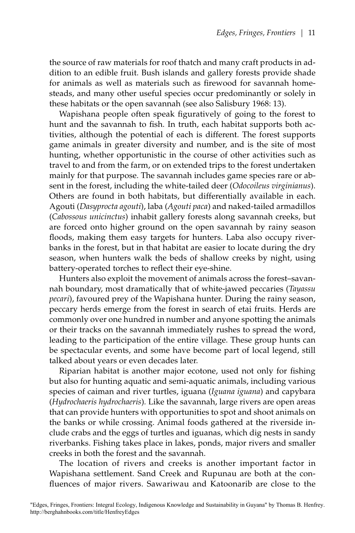the source of raw materials for roof thatch and many craft products in addition to an edible fruit. Bush islands and gallery forests provide shade for animals as well as materials such as firewood for savannah homesteads, and many other useful species occur predominantly or solely in these habitats or the open savannah (see also Salisbury 1968: 13).

Wapishana people often speak figuratively of going to the forest to hunt and the savannah to fish. In truth, each habitat supports both activities, although the potential of each is different. The forest supports game animals in greater diversity and number, and is the site of most hunting, whether opportunistic in the course of other activities such as travel to and from the farm, or on extended trips to the forest undertaken mainly for that purpose. The savannah includes game species rare or absent in the forest, including the white-tailed deer (*Odocoileus virginianus*). Others are found in both habitats, but differentially available in each. Agouti (*Dasyprocta agouti*), laba (*Agouti paca*) and naked-tailed armadillos (*Cabossous unicinctus*) inhabit gallery forests along savannah creeks, but are forced onto higher ground on the open savannah by rainy season floods, making them easy targets for hunters. Laba also occupy riverbanks in the forest, but in that habitat are easier to locate during the dry season, when hunters walk the beds of shallow creeks by night, using battery-operated torches to reflect their eye-shine.

Hunters also exploit the movement of animals across the forest–savannah boundary, most dramatically that of white-jawed peccaries (*Tayassu pecari*), favoured prey of the Wapishana hunter. During the rainy season, peccary herds emerge from the forest in search of etai fruits. Herds are commonly over one hundred in number and anyone spotting the animals or their tracks on the savannah immediately rushes to spread the word, leading to the participation of the entire village. These group hunts can be spectacular events, and some have become part of local legend, still talked about years or even decades later.

Riparian habitat is another major ecotone, used not only for fishing but also for hunting aquatic and semi-aquatic animals, including various species of caiman and river turtles, iguana (*Iguana iguana*) and capybara (*Hydrochaeris hydrochaeris*)*.* Like the savannah, large rivers are open areas that can provide hunters with opportunities to spot and shoot animals on the banks or while crossing. Animal foods gathered at the riverside include crabs and the eggs of turtles and iguanas, which dig nests in sandy riverbanks. Fishing takes place in lakes, ponds, major rivers and smaller creeks in both the forest and the savannah.

The location of rivers and creeks is another important factor in Wapishana settlement. Sand Creek and Rupunau are both at the confluences of major rivers. Sawariwau and Katoonarib are close to the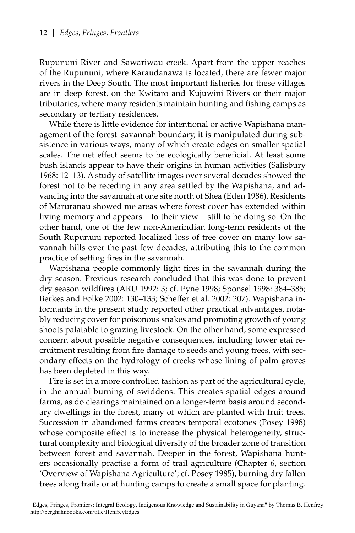Rupununi River and Sawariwau creek. Apart from the upper reaches of the Rupununi, where Karaudanawa is located, there are fewer major rivers in the Deep South. The most important fisheries for these villages are in deep forest, on the Kwitaro and Kujuwini Rivers or their major tributaries, where many residents maintain hunting and fishing camps as secondary or tertiary residences.

While there is little evidence for intentional or active Wapishana management of the forest–savannah boundary, it is manipulated during subsistence in various ways, many of which create edges on smaller spatial scales. The net effect seems to be ecologically beneficial. At least some bush islands appear to have their origins in human activities (Salisbury 1968: 12–13). A study of satellite images over several decades showed the forest not to be receding in any area settled by the Wapishana, and advancing into the savannah at one site north of Shea (Eden 1986). Residents of Maruranau showed me areas where forest cover has extended within living memory and appears – to their view – still to be doing so. On the other hand, one of the few non-Amerindian long-term residents of the South Rupununi reported localized loss of tree cover on many low savannah hills over the past few decades, attributing this to the common practice of setting fires in the savannah.

Wapishana people commonly light fires in the savannah during the dry season. Previous research concluded that this was done to prevent dry season wildfires (ARU 1992: 3; cf. Pyne 1998; Sponsel 1998: 384–385; Berkes and Folke 2002: 130–133; Scheffer et al. 2002: 207). Wapishana informants in the present study reported other practical advantages, notably reducing cover for poisonous snakes and promoting growth of young shoots palatable to grazing livestock. On the other hand, some expressed concern about possible negative consequences, including lower etai recruitment resulting from fire damage to seeds and young trees, with secondary effects on the hydrology of creeks whose lining of palm groves has been depleted in this way.

Fire is set in a more controlled fashion as part of the agricultural cycle, in the annual burning of swiddens. This creates spatial edges around farms, as do clearings maintained on a longer-term basis around secondary dwellings in the forest, many of which are planted with fruit trees. Succession in abandoned farms creates temporal ecotones (Posey 1998) whose composite effect is to increase the physical heterogeneity, structural complexity and biological diversity of the broader zone of transition between forest and savannah. Deeper in the forest, Wapishana hunters occasionally practise a form of trail agriculture (Chapter 6, section 'Overview of Wapishana Agriculture'; cf. Posey 1985), burning dry fallen trees along trails or at hunting camps to create a small space for planting.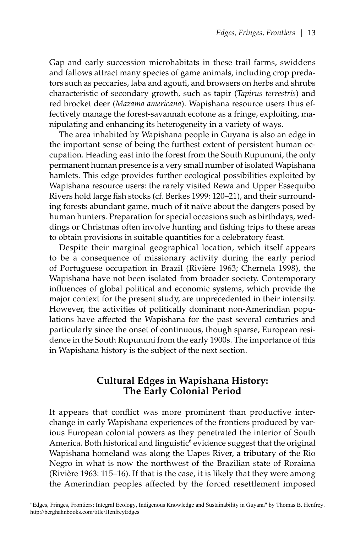Gap and early succession microhabitats in these trail farms, swiddens and fallows attract many species of game animals, including crop predators such as peccaries, laba and agouti, and browsers on herbs and shrubs characteristic of secondary growth, such as tapir (*Tapirus terrestris*) and red brocket deer (*Mazama americana*). Wapishana resource users thus effectively manage the forest-savannah ecotone as a fringe, exploiting, manipulating and enhancing its heterogeneity in a variety of ways.

The area inhabited by Wapishana people in Guyana is also an edge in the important sense of being the furthest extent of persistent human occupation. Heading east into the forest from the South Rupununi, the only permanent human presence is a very small number of isolated Wapishana hamlets. This edge provides further ecological possibilities exploited by Wapishana resource users: the rarely visited Rewa and Upper Essequibo Rivers hold large fish stocks (cf. Berkes 1999: 120–21), and their surrounding forests abundant game, much of it naïve about the dangers posed by human hunters. Preparation for special occasions such as birthdays, weddings or Christmas often involve hunting and fishing trips to these areas to obtain provisions in suitable quantities for a celebratory feast.

Despite their marginal geographical location, which itself appears to be a consequence of missionary activity during the early period of Portuguese occupation in Brazil (Rivière 1963; Chernela 1998), the Wapishana have not been isolated from broader society. Contemporary influences of global political and economic systems, which provide the major context for the present study, are unprecedented in their intensity. However, the activities of politically dominant non-Amerindian populations have affected the Wapishana for the past several centuries and particularly since the onset of continuous, though sparse, European residence in the South Rupununi from the early 1900s. The importance of this in Wapishana history is the subject of the next section.

## **Cultural Edges in Wapishana History: The Early Colonial Period**

It appears that conflict was more prominent than productive interchange in early Wapishana experiences of the frontiers produced by various European colonial powers as they penetrated the interior of South America. Both historical and linguistic<sup>6</sup> evidence suggest that the original Wapishana homeland was along the Uapes River, a tributary of the Rio Negro in what is now the northwest of the Brazilian state of Roraima (Rivière 1963: 115–16). If that is the case, it is likely that they were among the Amerindian peoples affected by the forced resettlement imposed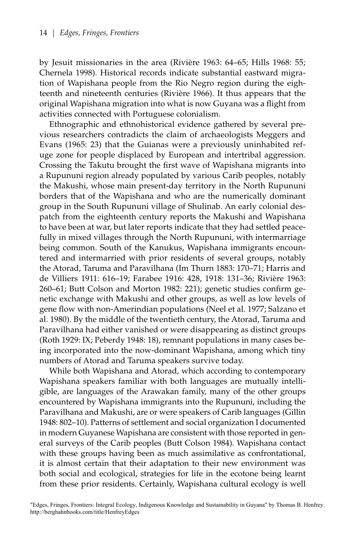by Jesuit missionaries in the area (Rivière 1963: 64–65; Hills 1968: 55; Chernela 1998). Historical records indicate substantial eastward migration of Wapishana people from the Rio Negro region during the eighteenth and nineteenth centuries (Rivière 1966). It thus appears that the original Wapishana migration into what is now Guyana was a flight from activities connected with Portuguese colonialism.

Ethnographic and ethnohistorical evidence gathered by several previous researchers contradicts the claim of archaeologists Meggers and Evans (1965: 23) that the Guianas were a previously uninhabited refuge zone for people displaced by European and intertribal aggression. Crossing the Takutu brought the first wave of Wapishana migrants into a Rupununi region already populated by various Carib peoples, notably the Makushi, whose main present-day territory in the North Rupununi borders that of the Wapishana and who are the numerically dominant group in the South Rupununi village of Shulinab. An early colonial despatch from the eighteenth century reports the Makushi and Wapishana to have been at war, but later reports indicate that they had settled peacefully in mixed villages through the North Rupununi, with intermarriage being common. South of the Kanukus, Wapishana immigrants encountered and intermarried with prior residents of several groups, notably the Atorad, Taruma and Paravilhana (Im Thurn 1883: 170–71; Harris and de Villiers 1911: 616–19; Farabee 1916: 428, 1918: 131–36; Rivière 1963: 260–61; Butt Colson and Morton 1982: 221); genetic studies confirm genetic exchange with Makushi and other groups, as well as low levels of gene flow with non-Amerindian populations (Neel et al. 1977; Salzano et al. 1980). By the middle of the twentieth century, the Atorad, Taruma and Paravilhana had either vanished or were disappearing as distinct groups (Roth 1929: IX; Peberdy 1948: 18), remnant populations in many cases being incorporated into the now-dominant Wapishana, among which tiny numbers of Atorad and Taruma speakers survive today.

While both Wapishana and Atorad, which according to contemporary Wapishana speakers familiar with both languages are mutually intelligible, are languages of the Arawakan family, many of the other groups encountered by Wapishana immigrants into the Rupununi, including the Paravilhana and Makushi, are or were speakers of Carib languages (Gillin 1948: 802–10). Patterns of settlement and social organization I documented in modern Guyanese Wapishana are consistent with those reported in general surveys of the Carib peoples (Butt Colson 1984). Wapishana contact with these groups having been as much assimilative as confrontational, it is almost certain that their adaptation to their new environment was both social and ecological, strategies for life in the ecotone being learnt from these prior residents. Certainly, Wapishana cultural ecology is well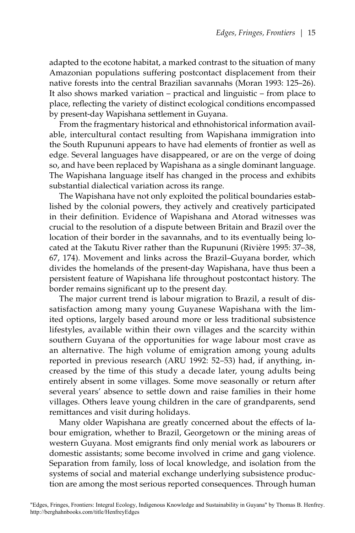adapted to the ecotone habitat, a marked contrast to the situation of many Amazonian populations suffering postcontact displacement from their native forests into the central Brazilian savannahs (Moran 1993: 125–26). It also shows marked variation – practical and linguistic – from place to place, reflecting the variety of distinct ecological conditions encompassed by present-day Wapishana settlement in Guyana.

From the fragmentary historical and ethnohistorical information available, intercultural contact resulting from Wapishana immigration into the South Rupununi appears to have had elements of frontier as well as edge. Several languages have disappeared, or are on the verge of doing so, and have been replaced by Wapishana as a single dominant language. The Wapishana language itself has changed in the process and exhibits substantial dialectical variation across its range.

The Wapishana have not only exploited the political boundaries established by the colonial powers, they actively and creatively participated in their definition. Evidence of Wapishana and Atorad witnesses was crucial to the resolution of a dispute between Britain and Brazil over the location of their border in the savannahs, and to its eventually being located at the Takutu River rather than the Rupununi (Rivière 1995: 37–38, 67, 174). Movement and links across the Brazil–Guyana border, which divides the homelands of the present-day Wapishana, have thus been a persistent feature of Wapishana life throughout postcontact history. The border remains significant up to the present day.

The major current trend is labour migration to Brazil, a result of dissatisfaction among many young Guyanese Wapishana with the limited options, largely based around more or less traditional subsistence lifestyles, available within their own villages and the scarcity within southern Guyana of the opportunities for wage labour most crave as an alternative. The high volume of emigration among young adults reported in previous research (ARU 1992: 52–53) had, if anything, increased by the time of this study a decade later, young adults being entirely absent in some villages. Some move seasonally or return after several years' absence to settle down and raise families in their home villages. Others leave young children in the care of grandparents, send remittances and visit during holidays.

Many older Wapishana are greatly concerned about the effects of labour emigration, whether to Brazil, Georgetown or the mining areas of western Guyana. Most emigrants find only menial work as labourers or domestic assistants; some become involved in crime and gang violence. Separation from family, loss of local knowledge, and isolation from the systems of social and material exchange underlying subsistence production are among the most serious reported consequences. Through human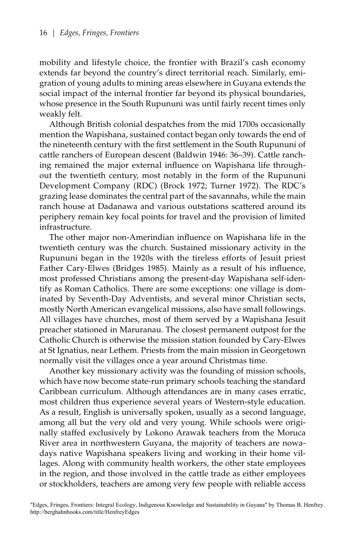mobility and lifestyle choice, the frontier with Brazil's cash economy extends far beyond the country's direct territorial reach. Similarly, emigration of young adults to mining areas elsewhere in Guyana extends the social impact of the internal frontier far beyond its physical boundaries, whose presence in the South Rupununi was until fairly recent times only weakly felt.

Although British colonial despatches from the mid 1700s occasionally mention the Wapishana, sustained contact began only towards the end of the nineteenth century with the first settlement in the South Rupununi of cattle ranchers of European descent (Baldwin 1946: 36–39). Cattle ranching remained the major external influence on Wapishana life throughout the twentieth century, most notably in the form of the Rupununi Development Company (RDC) (Brock 1972; Turner 1972). The RDC's grazing lease dominates the central part of the savannahs, while the main ranch house at Dadanawa and various outstations scattered around its periphery remain key focal points for travel and the provision of limited infrastructure.

The other major non-Amerindian influence on Wapishana life in the twentieth century was the church. Sustained missionary activity in the Rupununi began in the 1920s with the tireless efforts of Jesuit priest Father Cary-Elwes (Bridges 1985). Mainly as a result of his influence, most professed Christians among the present-day Wapishana self-identify as Roman Catholics. There are some exceptions: one village is dominated by Seventh-Day Adventists, and several minor Christian sects, mostly North American evangelical missions, also have small followings. All villages have churches, most of them served by a Wapishana Jesuit preacher stationed in Maruranau. The closest permanent outpost for the Catholic Church is otherwise the mission station founded by Cary-Elwes at St Ignatius, near Lethem. Priests from the main mission in Georgetown normally visit the villages once a year around Christmas time.

Another key missionary activity was the founding of mission schools, which have now become state-run primary schools teaching the standard Caribbean curriculum. Although attendances are in many cases erratic, most children thus experience several years of Western-style education. As a result, English is universally spoken, usually as a second language, among all but the very old and very young. While schools were originally staffed exclusively by Lokono Arawak teachers from the Moruca River area in northwestern Guyana, the majority of teachers are nowadays native Wapishana speakers living and working in their home villages. Along with community health workers, the other state employees in the region, and those involved in the cattle trade as either employees or stockholders, teachers are among very few people with reliable access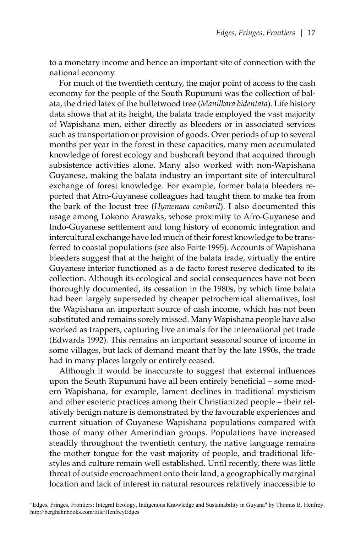to a monetary income and hence an important site of connection with the national economy.

For much of the twentieth century, the major point of access to the cash economy for the people of the South Rupununi was the collection of balata, the dried latex of the bulletwood tree (*Manilkara bidentata*)*.* Life history data shows that at its height, the balata trade employed the vast majority of Wapishana men, either directly as bleeders or in associated services such as transportation or provision of goods. Over periods of up to several months per year in the forest in these capacities, many men accumulated knowledge of forest ecology and bushcraft beyond that acquired through subsistence activities alone. Many also worked with non-Wapishana Guyanese, making the balata industry an important site of intercultural exchange of forest knowledge. For example, former balata bleeders reported that Afro-Guyanese colleagues had taught them to make tea from the bark of the locust tree (*Hymenaea coubaril*). I also documented this usage among Lokono Arawaks, whose proximity to Afro-Guyanese and Indo-Guyanese settlement and long history of economic integration and intercultural exchange have led much of their forest knowledge to be transferred to coastal populations (see also Forte 1995). Accounts of Wapishana bleeders suggest that at the height of the balata trade, virtually the entire Guyanese interior functioned as a de facto forest reserve dedicated to its collection. Although its ecological and social consequences have not been thoroughly documented, its cessation in the 1980s, by which time balata had been largely superseded by cheaper petrochemical alternatives, lost the Wapishana an important source of cash income, which has not been substituted and remains sorely missed. Many Wapishana people have also worked as trappers, capturing live animals for the international pet trade (Edwards 1992). This remains an important seasonal source of income in some villages, but lack of demand meant that by the late 1990s, the trade had in many places largely or entirely ceased.

Although it would be inaccurate to suggest that external influences upon the South Rupununi have all been entirely beneficial – some modern Wapishana, for example, lament declines in traditional mysticism and other esoteric practices among their Christianized people – their relatively benign nature is demonstrated by the favourable experiences and current situation of Guyanese Wapishana populations compared with those of many other Amerindian groups. Populations have increased steadily throughout the twentieth century, the native language remains the mother tongue for the vast majority of people, and traditional lifestyles and culture remain well established. Until recently, there was little threat of outside encroachment onto their land, a geographically marginal location and lack of interest in natural resources relatively inaccessible to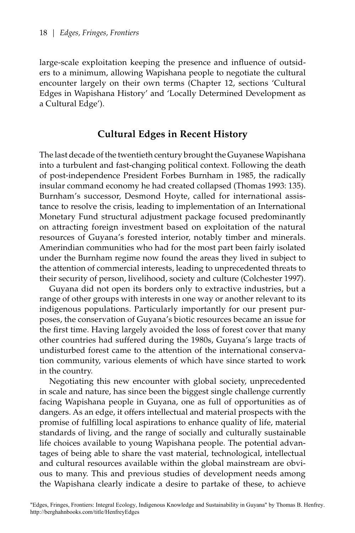large-scale exploitation keeping the presence and influence of outsiders to a minimum, allowing Wapishana people to negotiate the cultural encounter largely on their own terms (Chapter 12, sections 'Cultural Edges in Wapishana History' and 'Locally Determined Development as a Cultural Edge').

## **Cultural Edges in Recent History**

The last decade of the twentieth century brought the Guyanese Wapishana into a turbulent and fast-changing political context. Following the death of post-independence President Forbes Burnham in 1985, the radically insular command economy he had created collapsed (Thomas 1993: 135). Burnham's successor, Desmond Hoyte, called for international assistance to resolve the crisis, leading to implementation of an International Monetary Fund structural adjustment package focused predominantly on attracting foreign investment based on exploitation of the natural resources of Guyana's forested interior, notably timber and minerals. Amerindian communities who had for the most part been fairly isolated under the Burnham regime now found the areas they lived in subject to the attention of commercial interests, leading to unprecedented threats to their security of person, livelihood, society and culture (Colchester 1997).

Guyana did not open its borders only to extractive industries, but a range of other groups with interests in one way or another relevant to its indigenous populations. Particularly importantly for our present purposes, the conservation of Guyana's biotic resources became an issue for the first time. Having largely avoided the loss of forest cover that many other countries had suffered during the 1980s, Guyana's large tracts of undisturbed forest came to the attention of the international conservation community, various elements of which have since started to work in the country.

Negotiating this new encounter with global society, unprecedented in scale and nature, has since been the biggest single challenge currently facing Wapishana people in Guyana, one as full of opportunities as of dangers. As an edge, it offers intellectual and material prospects with the promise of fulfilling local aspirations to enhance quality of life, material standards of living, and the range of socially and culturally sustainable life choices available to young Wapishana people. The potential advantages of being able to share the vast material, technological, intellectual and cultural resources available within the global mainstream are obvious to many. This and previous studies of development needs among the Wapishana clearly indicate a desire to partake of these, to achieve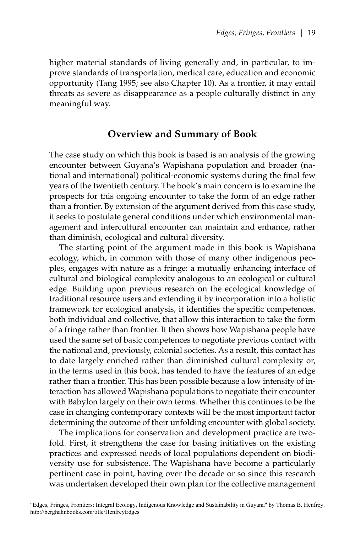higher material standards of living generally and, in particular, to improve standards of transportation, medical care, education and economic opportunity (Tang 1995; see also Chapter 10). As a frontier, it may entail threats as severe as disappearance as a people culturally distinct in any meaningful way.

### **Overview and Summary of Book**

The case study on which this book is based is an analysis of the growing encounter between Guyana's Wapishana population and broader (national and international) political-economic systems during the final few years of the twentieth century. The book's main concern is to examine the prospects for this ongoing encounter to take the form of an edge rather than a frontier. By extension of the argument derived from this case study, it seeks to postulate general conditions under which environmental management and intercultural encounter can maintain and enhance, rather than diminish, ecological and cultural diversity.

The starting point of the argument made in this book is Wapishana ecology, which, in common with those of many other indigenous peoples, engages with nature as a fringe: a mutually enhancing interface of cultural and biological complexity analogous to an ecological or cultural edge. Building upon previous research on the ecological knowledge of traditional resource users and extending it by incorporation into a holistic framework for ecological analysis, it identifies the specific competences, both individual and collective, that allow this interaction to take the form of a fringe rather than frontier. It then shows how Wapishana people have used the same set of basic competences to negotiate previous contact with the national and, previously, colonial societies. As a result, this contact has to date largely enriched rather than diminished cultural complexity or, in the terms used in this book, has tended to have the features of an edge rather than a frontier. This has been possible because a low intensity of interaction has allowed Wapishana populations to negotiate their encounter with Babylon largely on their own terms. Whether this continues to be the case in changing contemporary contexts will be the most important factor determining the outcome of their unfolding encounter with global society.

The implications for conservation and development practice are twofold. First, it strengthens the case for basing initiatives on the existing practices and expressed needs of local populations dependent on biodiversity use for subsistence. The Wapishana have become a particularly pertinent case in point, having over the decade or so since this research was undertaken developed their own plan for the collective management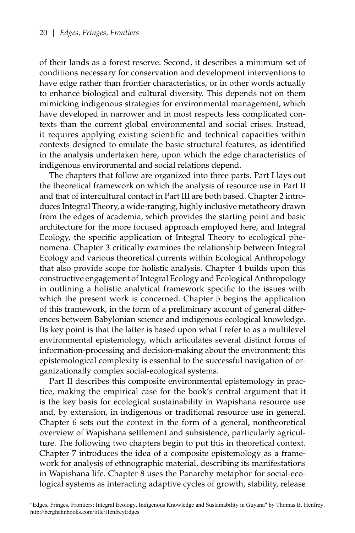of their lands as a forest reserve. Second, it describes a minimum set of conditions necessary for conservation and development interventions to have edge rather than frontier characteristics, or in other words actually to enhance biological and cultural diversity. This depends not on them mimicking indigenous strategies for environmental management, which have developed in narrower and in most respects less complicated contexts than the current global environmental and social crises. Instead, it requires applying existing scientific and technical capacities within contexts designed to emulate the basic structural features, as identified in the analysis undertaken here, upon which the edge characteristics of indigenous environmental and social relations depend.

The chapters that follow are organized into three parts. Part I lays out the theoretical framework on which the analysis of resource use in Part II and that of intercultural contact in Part III are both based. Chapter 2 introduces Integral Theory, a wide-ranging, highly inclusive metatheory drawn from the edges of academia, which provides the starting point and basic architecture for the more focused approach employed here, and Integral Ecology, the specific application of Integral Theory to ecological phenomena. Chapter 3 critically examines the relationship between Integral Ecology and various theoretical currents within Ecological Anthropology that also provide scope for holistic analysis. Chapter 4 builds upon this constructive engagement of Integral Ecology and Ecological Anthropology in outlining a holistic analytical framework specific to the issues with which the present work is concerned. Chapter 5 begins the application of this framework, in the form of a preliminary account of general differences between Babylonian science and indigenous ecological knowledge. Its key point is that the latter is based upon what I refer to as a multilevel environmental epistemology, which articulates several distinct forms of information-processing and decision-making about the environment; this epistemological complexity is essential to the successful navigation of organizationally complex social-ecological systems.

Part II describes this composite environmental epistemology in practice, making the empirical case for the book's central argument that it is the key basis for ecological sustainability in Wapishana resource use and, by extension, in indigenous or traditional resource use in general. Chapter 6 sets out the context in the form of a general, nontheoretical overview of Wapishana settlement and subsistence, particularly agriculture. The following two chapters begin to put this in theoretical context. Chapter 7 introduces the idea of a composite epistemology as a framework for analysis of ethnographic material, describing its manifestations in Wapishana life. Chapter 8 uses the Panarchy metaphor for social-ecological systems as interacting adaptive cycles of growth, stability, release